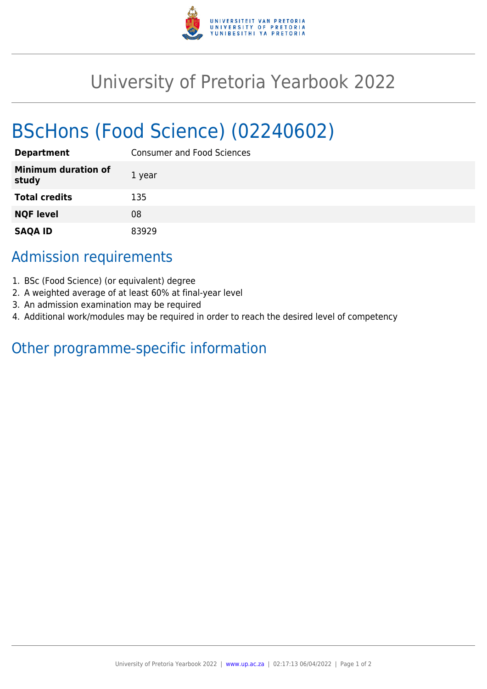

## University of Pretoria Yearbook 2022

# BScHons (Food Science) (02240602)

| <b>Department</b>                   | <b>Consumer and Food Sciences</b> |
|-------------------------------------|-----------------------------------|
| <b>Minimum duration of</b><br>study | 1 year                            |
| <b>Total credits</b>                | 135                               |
| <b>NQF level</b>                    | 08                                |
| <b>SAQA ID</b>                      | 83929                             |

## Admission requirements

- 1. BSc (Food Science) (or equivalent) degree
- 2. A weighted average of at least 60% at final-year level
- 3. An admission examination may be required
- 4. Additional work/modules may be required in order to reach the desired level of competency

## Other programme-specific information